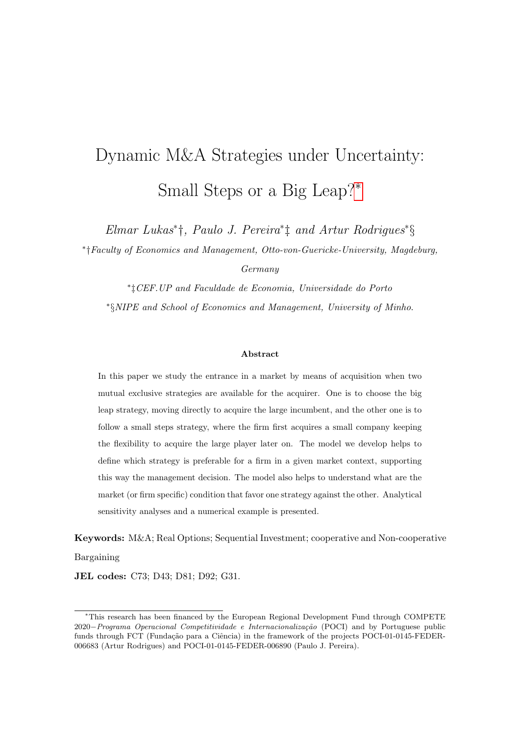# Dynamic M&A Strategies under Uncertainty: Small Steps or a Big Leap?[∗](#page-0-0)

Elmar Lukas<sup>∗</sup> †, Paulo J. Pereira<sup>∗</sup> ‡ and Artur Rodrigues<sup>∗</sup> §

∗ †Faculty of Economics and Management, Otto-von-Guericke-University, Magdeburg,

Germany

∗ ‡CEF.UP and Faculdade de Economia, Universidade do Porto ∗ §NIPE and School of Economics and Management, University of Minho.

### Abstract

In this paper we study the entrance in a market by means of acquisition when two mutual exclusive strategies are available for the acquirer. One is to choose the big leap strategy, moving directly to acquire the large incumbent, and the other one is to follow a small steps strategy, where the firm first acquires a small company keeping the flexibility to acquire the large player later on. The model we develop helps to define which strategy is preferable for a firm in a given market context, supporting this way the management decision. The model also helps to understand what are the market (or firm specific) condition that favor one strategy against the other. Analytical sensitivity analyses and a numerical example is presented.

Keywords: M&A; Real Options; Sequential Investment; cooperative and Non-cooperative Bargaining

JEL codes: C73; D43; D81; D92; G31.

<span id="page-0-0"></span><sup>∗</sup>This research has been financed by the European Regional Development Fund through COMPETE 2020−Programa Operacional Competitividade e Internacionalização (POCI) and by Portuguese public funds through FCT (Fundação para a Ciência) in the framework of the projects POCI-01-0145-FEDER-006683 (Artur Rodrigues) and POCI-01-0145-FEDER-006890 (Paulo J. Pereira).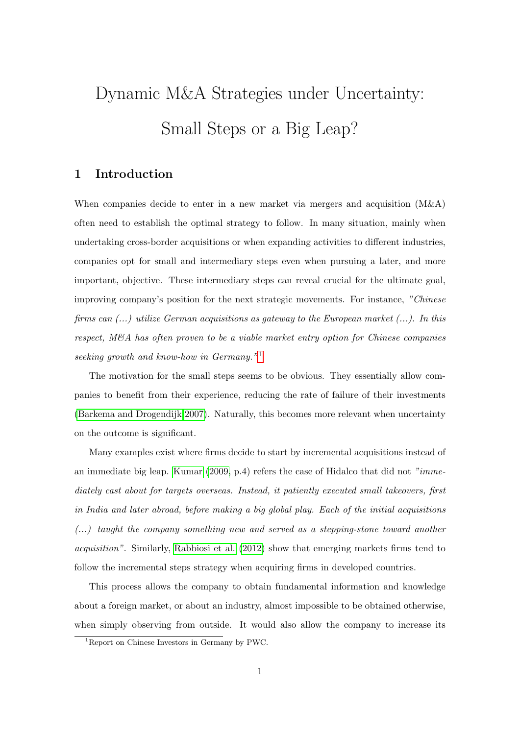# Dynamic M&A Strategies under Uncertainty: Small Steps or a Big Leap?

## 1 Introduction

When companies decide to enter in a new market via mergers and acquisition (M&A) often need to establish the optimal strategy to follow. In many situation, mainly when undertaking cross-border acquisitions or when expanding activities to different industries, companies opt for small and intermediary steps even when pursuing a later, and more important, objective. These intermediary steps can reveal crucial for the ultimate goal, improving company's position for the next strategic movements. For instance, "Chinese firms can  $(...)$  utilize German acquisitions as gateway to the European market  $(...)$ . In this respect, M&A has often proven to be a viable market entry option for Chinese companies seeking growth and know-how in Germany."<sup>[1](#page-1-0)</sup>

The motivation for the small steps seems to be obvious. They essentially allow companies to benefit from their experience, reducing the rate of failure of their investments [\(Barkema and Drogendijk 2007\)](#page-17-0). Naturally, this becomes more relevant when uncertainty on the outcome is significant.

Many examples exist where firms decide to start by incremental acquisitions instead of an immediate big leap. [Kumar](#page-18-0)  $(2009, p.4)$  $(2009, p.4)$  refers the case of Hidalco that did not "immediately cast about for targets overseas. Instead, it patiently executed small takeovers, first in India and later abroad, before making a big global play. Each of the initial acquisitions (...) taught the company something new and served as a stepping-stone toward another acquisition". Similarly, [Rabbiosi et al.](#page-18-1) [\(2012\)](#page-18-1) show that emerging markets firms tend to follow the incremental steps strategy when acquiring firms in developed countries.

This process allows the company to obtain fundamental information and knowledge about a foreign market, or about an industry, almost impossible to be obtained otherwise, when simply observing from outside. It would also allow the company to increase its

<span id="page-1-0"></span><sup>1</sup>Report on Chinese Investors in Germany by PWC.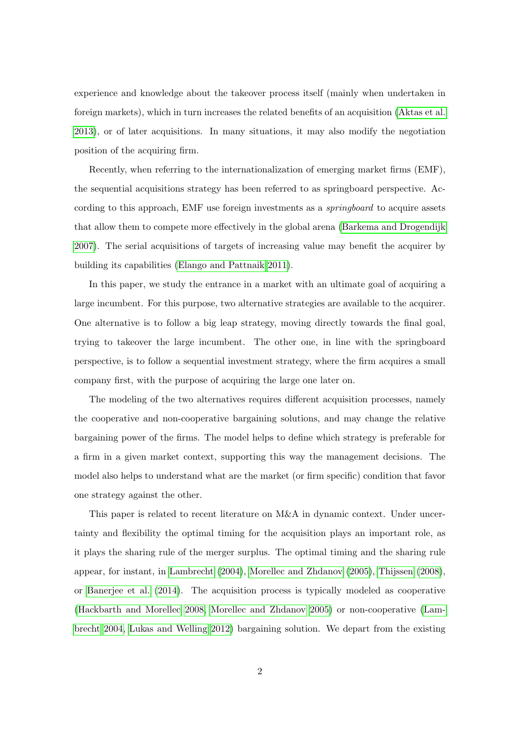experience and knowledge about the takeover process itself (mainly when undertaken in foreign markets), which in turn increases the related benefits of an acquisition [\(Aktas et al.](#page-17-1) [2013\)](#page-17-1), or of later acquisitions. In many situations, it may also modify the negotiation position of the acquiring firm.

Recently, when referring to the internationalization of emerging market firms (EMF), the sequential acquisitions strategy has been referred to as springboard perspective. According to this approach, EMF use foreign investments as a *springboard* to acquire assets that allow them to compete more effectively in the global arena [\(Barkema and Drogendijk](#page-17-0) [2007\)](#page-17-0). The serial acquisitions of targets of increasing value may benefit the acquirer by building its capabilities [\(Elango and Pattnaik 2011\)](#page-18-2).

In this paper, we study the entrance in a market with an ultimate goal of acquiring a large incumbent. For this purpose, two alternative strategies are available to the acquirer. One alternative is to follow a big leap strategy, moving directly towards the final goal, trying to takeover the large incumbent. The other one, in line with the springboard perspective, is to follow a sequential investment strategy, where the firm acquires a small company first, with the purpose of acquiring the large one later on.

The modeling of the two alternatives requires different acquisition processes, namely the cooperative and non-cooperative bargaining solutions, and may change the relative bargaining power of the firms. The model helps to define which strategy is preferable for a firm in a given market context, supporting this way the management decisions. The model also helps to understand what are the market (or firm specific) condition that favor one strategy against the other.

This paper is related to recent literature on M&A in dynamic context. Under uncertainty and flexibility the optimal timing for the acquisition plays an important role, as it plays the sharing rule of the merger surplus. The optimal timing and the sharing rule appear, for instant, in [Lambrecht](#page-18-3) [\(2004\)](#page-18-3), [Morellec and Zhdanov](#page-18-4) [\(2005\)](#page-18-4), [Thijssen](#page-18-5) [\(2008\)](#page-18-5), or [Banerjee et al.](#page-17-2) [\(2014\)](#page-17-2). The acquisition process is typically modeled as cooperative [\(Hackbarth and Morellec 2008,](#page-18-6) [Morellec and Zhdanov 2005\)](#page-18-4) or non-cooperative [\(Lam](#page-18-3)[brecht 2004,](#page-18-3) [Lukas and Welling 2012\)](#page-18-7) bargaining solution. We depart from the existing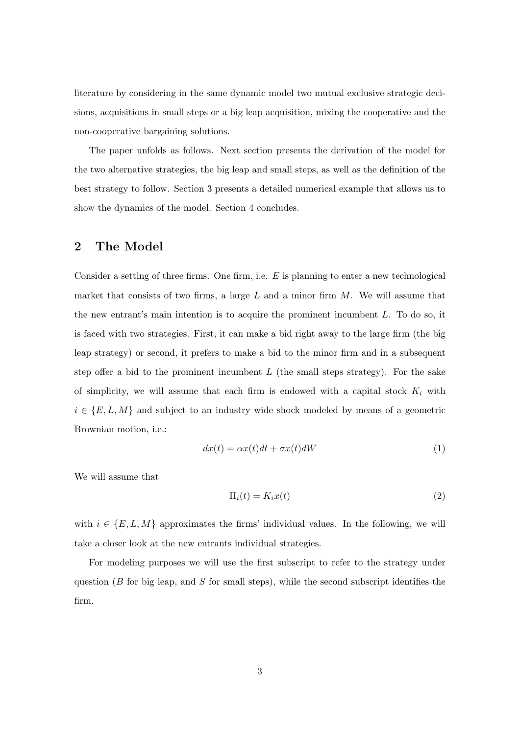literature by considering in the same dynamic model two mutual exclusive strategic decisions, acquisitions in small steps or a big leap acquisition, mixing the cooperative and the non-cooperative bargaining solutions.

The paper unfolds as follows. Next section presents the derivation of the model for the two alternative strategies, the big leap and small steps, as well as the definition of the best strategy to follow. Section 3 presents a detailed numerical example that allows us to show the dynamics of the model. Section 4 concludes.

## 2 The Model

Consider a setting of three firms. One firm, i.e.  $E$  is planning to enter a new technological market that consists of two firms, a large  $L$  and a minor firm  $M$ . We will assume that the new entrant's main intention is to acquire the prominent incumbent  $L$ . To do so, it is faced with two strategies. First, it can make a bid right away to the large firm (the big leap strategy) or second, it prefers to make a bid to the minor firm and in a subsequent step offer a bid to the prominent incumbent  $L$  (the small steps strategy). For the sake of simplicity, we will assume that each firm is endowed with a capital stock  $K_i$  with  $i \in \{E, L, M\}$  and subject to an industry wide shock modeled by means of a geometric Brownian motion, i.e.:

$$
dx(t) = \alpha x(t)dt + \sigma x(t)dW
$$
\n(1)

We will assume that

$$
\Pi_i(t) = K_i x(t) \tag{2}
$$

with  $i \in \{E, L, M\}$  approximates the firms' individual values. In the following, we will take a closer look at the new entrants individual strategies.

For modeling purposes we will use the first subscript to refer to the strategy under question ( $B$  for big leap, and  $S$  for small steps), while the second subscript identifies the firm.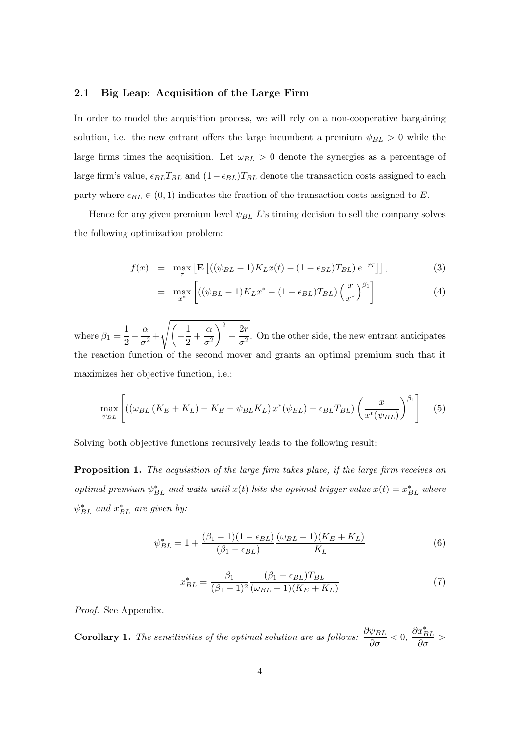## 2.1 Big Leap: Acquisition of the Large Firm

In order to model the acquisition process, we will rely on a non-cooperative bargaining solution, i.e. the new entrant offers the large incumbent a premium  $\psi_{BL} > 0$  while the large firms times the acquisition. Let  $\omega_{BL} > 0$  denote the synergies as a percentage of large firm's value,  $\epsilon_{BL}T_{BL}$  and  $(1-\epsilon_{BL})T_{BL}$  denote the transaction costs assigned to each party where  $\epsilon_{BL} \in (0, 1)$  indicates the fraction of the transaction costs assigned to E.

Hence for any given premium level  $\psi_{BL}$  L's timing decision to sell the company solves the following optimization problem:

$$
f(x) = \max_{\tau} \left[ \mathbf{E} \left[ \left( (\psi_{BL} - 1) K_L x(t) - (1 - \epsilon_{BL}) T_{BL} \right) e^{-r\tau} \right] \right],\tag{3}
$$

$$
= \max_{x^*} \left[ \left( (\psi_{BL} - 1) K_L x^* - (1 - \epsilon_{BL}) T_{BL} \right) \left( \frac{x}{x^*} \right)^{\beta_1} \right] \tag{4}
$$

where  $\beta_1 = \frac{1}{2}$  $rac{1}{2} - \frac{\alpha}{\sigma^2}$  $\frac{\alpha}{\sigma^2} + \sqrt{\left(-\frac{1}{2}\right)}$  $\frac{1}{2} + \frac{\alpha}{\sigma^2}$  $\sigma^2$  $\bigg)^2 + \frac{2r}{2}$  $\frac{27}{\sigma^2}$ . On the other side, the new entrant anticipates the reaction function of the second mover and grants an optimal premium such that it maximizes her objective function, i.e.:

$$
\max_{\psi_{BL}} \left[ \left( \left( \omega_{BL} \left( K_E + K_L \right) - K_E - \psi_{BL} K_L \right) x^* (\psi_{BL}) - \epsilon_{BL} T_{BL} \right) \left( \frac{x}{x^* (\psi_{BL})} \right)^{\beta_1} \right] \tag{5}
$$

Solving both objective functions recursively leads to the following result:

**Proposition 1.** The acquisition of the large firm takes place, if the large firm receives an optimal premium  $\psi_{BL}^*$  and waits until  $x(t)$  hits the optimal trigger value  $x(t) = x_{BL}^*$  where  $\psi_{BL}^*$  and  $x_{BL}^*$  are given by:

$$
\psi_{BL}^{*} = 1 + \frac{(\beta_1 - 1)(1 - \epsilon_{BL})}{(\beta_1 - \epsilon_{BL})} \frac{(\omega_{BL} - 1)(K_E + K_L)}{K_L}
$$
(6)

$$
x_{BL}^{*} = \frac{\beta_1}{(\beta_1 - 1)^2} \frac{(\beta_1 - \epsilon_{BL}) T_{BL}}{(\omega_{BL} - 1)(K_E + K_L)}
$$
(7)

 $\Box$ 

Proof. See Appendix.

**Corollary 1.** The sensitivities of the optimal solution are as follows:  $\frac{\partial \psi_{BL}}{\partial \sigma} < 0$ ,  $\frac{\partial x^*_{BL}}{\partial \sigma}$  >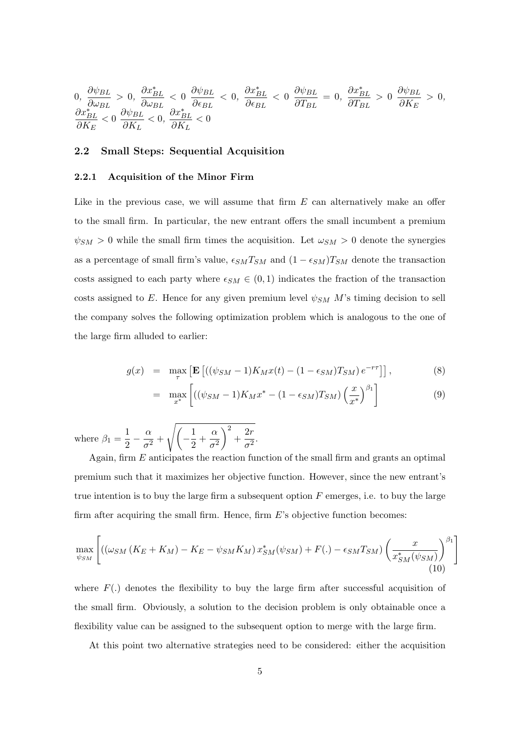$$
0, \frac{\partial \psi_{BL}}{\partial \omega_{BL}} > 0, \frac{\partial x_{BL}^{*}}{\partial \omega_{BL}} < 0 \frac{\partial \psi_{BL}}{\partial \epsilon_{BL}} < 0, \frac{\partial x_{BL}^{*}}{\partial \epsilon_{BL}} < 0 \frac{\partial \psi_{BL}}{\partial T_{BL}} = 0, \frac{\partial x_{BL}^{*}}{\partial T_{BL}} > 0 \frac{\partial \psi_{BL}}{\partial K_{E}} > 0, \frac{\partial x_{BL}^{*}}{\partial K_{E}} < 0 \frac{\partial \psi_{BL}}{\partial K_{L}} < 0, \frac{\partial x_{BL}^{*}}{\partial K_{L}} < 0
$$

## 2.2 Small Steps: Sequential Acquisition

## 2.2.1 Acquisition of the Minor Firm

Like in the previous case, we will assume that firm  $E$  can alternatively make an offer to the small firm. In particular, the new entrant offers the small incumbent a premium  $\psi_{SM} > 0$  while the small firm times the acquisition. Let  $\omega_{SM} > 0$  denote the synergies as a percentage of small firm's value,  $\epsilon_{SM}T_{SM}$  and  $(1 - \epsilon_{SM})T_{SM}$  denote the transaction costs assigned to each party where  $\epsilon_{SM} \in (0,1)$  indicates the fraction of the transaction costs assigned to E. Hence for any given premium level  $\psi_{SM}$  M's timing decision to sell the company solves the following optimization problem which is analogous to the one of the large firm alluded to earlier:

$$
g(x) = \max_{\tau} \left[ \mathbf{E} \left[ \left( (\psi_{SM} - 1) K_M x(t) - (1 - \epsilon_{SM}) T_{SM} \right) e^{-r\tau} \right] \right],
$$
 (8)

$$
= \max_{x^*} \left[ ((\psi_{SM} - 1)K_M x^* - (1 - \epsilon_{SM})T_{SM}) \left( \frac{x}{x^*} \right)^{\beta_1} \right] \tag{9}
$$

where  $\beta_1 = \frac{1}{2}$  $rac{1}{2} - \frac{\alpha}{\sigma^2}$  $\frac{\alpha}{\sigma^2}+\sqrt{\left(-\frac{1}{2}\right)}$  $\frac{1}{2} + \frac{\alpha}{\sigma^2}$  $\sigma^2$  $\bigg\}^2 + \frac{2r}{2}$  $\frac{\pi}{\sigma^2}$ .

Again, firm E anticipates the reaction function of the small firm and grants an optimal premium such that it maximizes her objective function. However, since the new entrant's true intention is to buy the large firm a subsequent option  $F$  emerges, i.e. to buy the large firm after acquiring the small firm. Hence, firm  $E$ 's objective function becomes:

$$
\max_{\psi_{SM}} \left[ \left( \left( \omega_{SM} \left( K_E + K_M \right) - K_E - \psi_{SM} K_M \right) x_{SM}^* (\psi_{SM}) + F(.) - \epsilon_{SM} T_{SM} \right) \left( \frac{x}{x_{SM}^* (\psi_{SM})} \right)^{\beta_1} \right]
$$
\n(10)

where  $F(.)$  denotes the flexibility to buy the large firm after successful acquisition of the small firm. Obviously, a solution to the decision problem is only obtainable once a flexibility value can be assigned to the subsequent option to merge with the large firm.

At this point two alternative strategies need to be considered: either the acquisition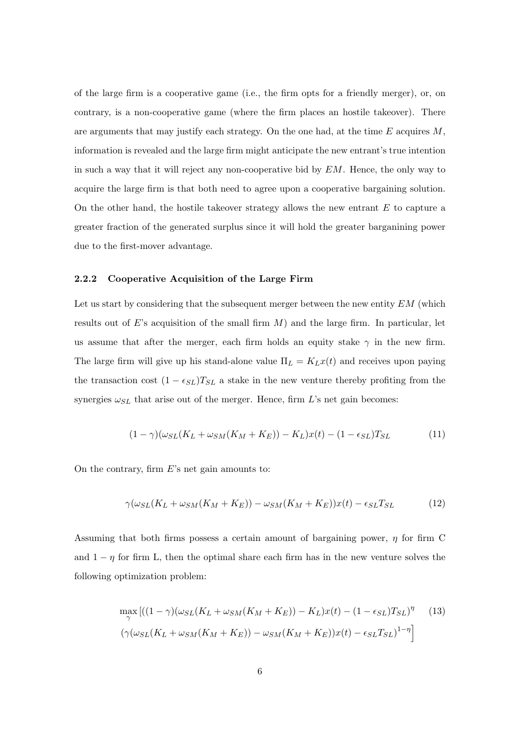of the large firm is a cooperative game (i.e., the firm opts for a friendly merger), or, on contrary, is a non-cooperative game (where the firm places an hostile takeover). There are arguments that may justify each strategy. On the one had, at the time  $E$  acquires  $M$ , information is revealed and the large firm might anticipate the new entrant's true intention in such a way that it will reject any non-cooperative bid by  $EM$ . Hence, the only way to acquire the large firm is that both need to agree upon a cooperative bargaining solution. On the other hand, the hostile takeover strategy allows the new entrant  $E$  to capture a greater fraction of the generated surplus since it will hold the greater barganining power due to the first-mover advantage.

#### 2.2.2 Cooperative Acquisition of the Large Firm

Let us start by considering that the subsequent merger between the new entity  $EM$  (which results out of E's acquisition of the small firm  $M$ ) and the large firm. In particular, let us assume that after the merger, each firm holds an equity stake  $\gamma$  in the new firm. The large firm will give up his stand-alone value  $\Pi_L = K_L x(t)$  and receives upon paying the transaction cost  $(1 - \epsilon_{SL})T_{SL}$  a stake in the new venture thereby profiting from the synergies  $\omega_{SL}$  that arise out of the merger. Hence, firm L's net gain becomes:

$$
(1 - \gamma)(\omega_{SL}(K_L + \omega_{SM}(K_M + K_E)) - K_L)x(t) - (1 - \epsilon_{SL})T_{SL}
$$
\n
$$
(11)
$$

On the contrary, firm  $E$ 's net gain amounts to:

$$
\gamma(\omega_{SL}(K_L + \omega_{SM}(K_M + K_E)) - \omega_{SM}(K_M + K_E))x(t) - \epsilon_{SL}T_{SL}
$$
(12)

Assuming that both firms possess a certain amount of bargaining power,  $\eta$  for firm C and  $1 - \eta$  for firm L, then the optimal share each firm has in the new venture solves the following optimization problem:

$$
\max_{\gamma} \left[ \left( (1 - \gamma)(\omega_{SL}(K_L + \omega_{SM}(K_M + K_E)) - K_L)x(t) - (1 - \epsilon_{SL})T_{SL} \right)^{\eta} \right] \tag{13}
$$
\n
$$
\left( \gamma(\omega_{SL}(K_L + \omega_{SM}(K_M + K_E)) - \omega_{SM}(K_M + K_E))x(t) - \epsilon_{SL}T_{SL} \right)^{1 - \eta} \right]
$$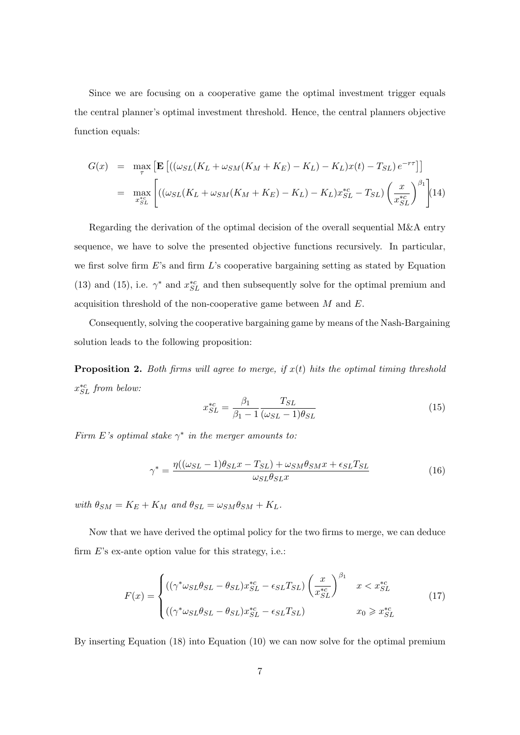Since we are focusing on a cooperative game the optimal investment trigger equals the central planner's optimal investment threshold. Hence, the central planners objective function equals:

$$
G(x) = \max_{\tau} \left[ \mathbf{E} \left[ \left( (\omega_{SL}(K_L + \omega_{SM}(K_M + K_E) - K_L) - K_L) x(t) - T_{SL} \right) e^{-r\tau} \right] \right]
$$
  
= 
$$
\max_{x_{SL}^{\text{sec}}} \left[ \left( (\omega_{SL}(K_L + \omega_{SM}(K_M + K_E) - K_L) - K_L) x_{SL}^{\text{sc}} - T_{SL} \right) \left( \frac{x}{x_{SL}^{\text{sc}}} \right)^{\beta_1} \right] (14)
$$

Regarding the derivation of the optimal decision of the overall sequential M&A entry sequence, we have to solve the presented objective functions recursively. In particular, we first solve firm  $E$ 's and firm  $L$ 's cooperative bargaining setting as stated by Equation (13) and (15), i.e.  $\gamma^*$  and  $x_{SL}^{*c}$  and then subsequently solve for the optimal premium and acquisition threshold of the non-cooperative game between  $M$  and  $E$ .

Consequently, solving the cooperative bargaining game by means of the Nash-Bargaining solution leads to the following proposition:

**Proposition 2.** Both firms will agree to merge, if  $x(t)$  hits the optimal timing threshold  $x_{SL}^{*c}$  from below:

$$
x_{SL}^{*c} = \frac{\beta_1}{\beta_1 - 1} \frac{T_{SL}}{(\omega_{SL} - 1)\theta_{SL}}\tag{15}
$$

Firm E's optimal stake  $\gamma^*$  in the merger amounts to:

$$
\gamma^* = \frac{\eta((\omega_{SL} - 1)\theta_{SL}x - T_{SL}) + \omega_{SM}\theta_{SM}x + \epsilon_{SL}T_{SL}}{\omega_{SL}\theta_{SL}x}
$$
(16)

with  $\theta_{SM} = K_E + K_M$  and  $\theta_{SL} = \omega_{SM} \theta_{SM} + K_L$ .

Now that we have derived the optimal policy for the two firms to merge, we can deduce firm  $E$ 's ex-ante option value for this strategy, i.e.:

$$
F(x) = \begin{cases} ((\gamma^* \omega_{SL} \theta_{SL} - \theta_{SL}) x_{SL}^{*c} - \epsilon_{SL} T_{SL}) \left(\frac{x}{x_{SL}^{*c}}\right)^{\beta_1} & x < x_{SL}^{*c} \\ ((\gamma^* \omega_{SL} \theta_{SL} - \theta_{SL}) x_{SL}^{*c} - \epsilon_{SL} T_{SL}) & x_0 \geq x_{SL}^{*c} \end{cases}
$$
(17)

By inserting Equation (18) into Equation (10) we can now solve for the optimal premium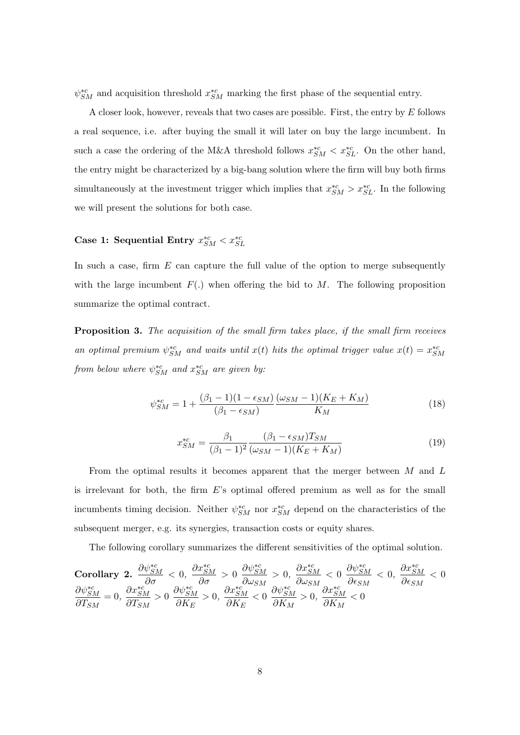$\psi_{SM}^{*c}$  and acquisition threshold  $x_{SM}^{*c}$  marking the first phase of the sequential entry.

A closer look, however, reveals that two cases are possible. First, the entry by E follows a real sequence, i.e. after buying the small it will later on buy the large incumbent. In such a case the ordering of the M&A threshold follows  $x_{SM}^{*c} < x_{SL}^{*c}$ . On the other hand, the entry might be characterized by a big-bang solution where the firm will buy both firms simultaneously at the investment trigger which implies that  $x_{SM}^{*c} > x_{SL}^{*c}$ . In the following we will present the solutions for both case.

# Case 1: Sequential Entry  $x_{SM}^{*c} < x_{SL}^{*c}$

In such a case, firm  $E$  can capture the full value of the option to merge subsequently with the large incumbent  $F(.)$  when offering the bid to M. The following proposition summarize the optimal contract.

**Proposition 3.** The acquisition of the small firm takes place, if the small firm receives an optimal premium  $\psi_{SM}^{*c}$  and waits until  $x(t)$  hits the optimal trigger value  $x(t) = x_{SM}^{*c}$ from below where  $\psi_{SM}^{*c}$  and  $x_{SM}^{*c}$  are given by:

$$
\psi_{SM}^{*c} = 1 + \frac{(\beta_1 - 1)(1 - \epsilon_{SM})}{(\beta_1 - \epsilon_{SM})} \frac{(\omega_{SM} - 1)(K_E + K_M)}{K_M} \tag{18}
$$

$$
x_{SM}^{*c} = \frac{\beta_1}{(\beta_1 - 1)^2} \frac{(\beta_1 - \epsilon_{SM}) T_{SM}}{(\omega_{SM} - 1)(K_E + K_M)}
$$
(19)

From the optimal results it becomes apparent that the merger between M and L is irrelevant for both, the firm E's optimal offered premium as well as for the small incumbents timing decision. Neither  $\psi_{SM}^{*c}$  nor  $x_{SM}^{*c}$  depend on the characteristics of the subsequent merger, e.g. its synergies, transaction costs or equity shares.

The following corollary summarizes the different sensitivities of the optimal solution.

Corollary 2. 
$$
\frac{\partial \psi_{SM}^{*c}}{\partial \sigma} < 0
$$
,  $\frac{\partial x_{SM}^{*c}}{\partial \sigma} > 0$   $\frac{\partial \psi_{SM}^{*c}}{\partial \omega_{SM}} > 0$ ,  $\frac{\partial x_{SM}^{*c}}{\partial \omega_{SM}} < 0$   $\frac{\partial \psi_{SM}^{*c}}{\partial \epsilon_{SM}} < 0$ ,  $\frac{\partial x_{SM}^{*c}}{\partial \epsilon_{SM}} < 0$ ,  $\frac{\partial x_{SM}^{*c}}{\partial \epsilon_{SM}} < 0$   
 $\frac{\partial \psi_{SM}^{*c}}{\partial T_{SM}} = 0$ ,  $\frac{\partial x_{SM}^{*c}}{\partial T_{SM}} > 0$   $\frac{\partial y_{SM}^{*c}}{\partial K_E} > 0$ ,  $\frac{\partial x_{SM}^{*c}}{\partial K_E} < 0$   $\frac{\partial \psi_{SM}^{*c}}{\partial K_M} > 0$ ,  $\frac{\partial x_{SM}^{*c}}{\partial K_M} < 0$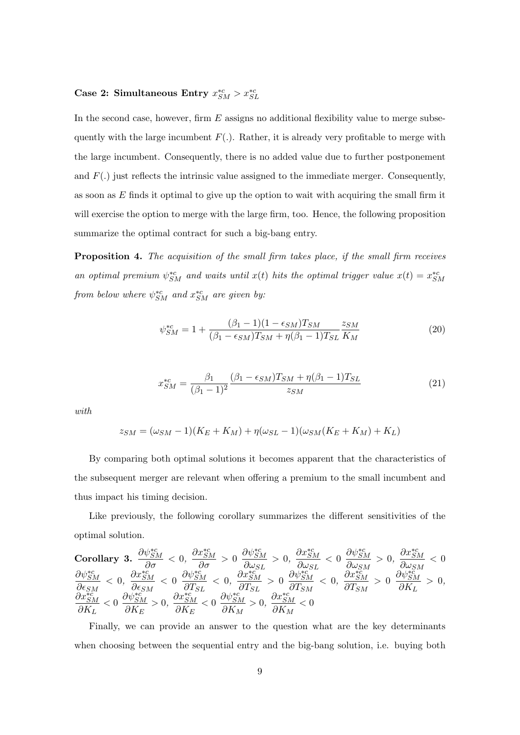# Case 2: Simultaneous Entry  $x_{SM}^{*c} > x_{SL}^{*c}$

In the second case, however, firm  $E$  assigns no additional flexibility value to merge subsequently with the large incumbent  $F(.)$ . Rather, it is already very profitable to merge with the large incumbent. Consequently, there is no added value due to further postponement and  $F(.)$  just reflects the intrinsic value assigned to the immediate merger. Consequently, as soon as  $E$  finds it optimal to give up the option to wait with acquiring the small firm it will exercise the option to merge with the large firm, too. Hence, the following proposition summarize the optimal contract for such a big-bang entry.

**Proposition 4.** The acquisition of the small firm takes place, if the small firm receives an optimal premium  $\psi_{SM}^{*c}$  and waits until  $x(t)$  hits the optimal trigger value  $x(t) = x_{SM}^{*c}$ from below where  $\psi_{SM}^{*c}$  and  $x_{SM}^{*c}$  are given by:

$$
\psi_{SM}^{*c} = 1 + \frac{(\beta_1 - 1)(1 - \epsilon_{SM})T_{SM}}{(\beta_1 - \epsilon_{SM})T_{SM} + \eta(\beta_1 - 1)T_{SL}} \frac{z_{SM}}{K_M}
$$
(20)

$$
x_{SM}^{*c} = \frac{\beta_1}{(\beta_1 - 1)^2} \frac{(\beta_1 - \epsilon_{SM}) T_{SM} + \eta(\beta_1 - 1) T_{SL}}{z_{SM}} \tag{21}
$$

with

$$
z_{SM} = (\omega_{SM} - 1)(K_E + K_M) + \eta(\omega_{SL} - 1)(\omega_{SM}(K_E + K_M) + K_L)
$$

By comparing both optimal solutions it becomes apparent that the characteristics of the subsequent merger are relevant when offering a premium to the small incumbent and thus impact his timing decision.

Like previously, the following corollary summarizes the different sensitivities of the optimal solution.

Corollary 3. 
$$
\frac{\partial \psi_{SM}^{*c}}{\partial \sigma} < 0
$$
,  $\frac{\partial x_{SM}^{*c}}{\partial \sigma} > 0$ ,  $\frac{\partial \psi_{SM}^{*c}}{\partial \omega_{SL}} > 0$ ,  $\frac{\partial x_{SM}^{*c}}{\partial \omega_{SL}} < 0$   $\frac{\partial \psi_{SM}^{*c}}{\partial \omega_{SM}} > 0$ ,  $\frac{\partial x_{SM}^{*c}}{\partial \omega_{SM}} < 0$   $\frac{\partial x_{SM}^{*c}}{\partial \omega_{SM}} < 0$   $\frac{\partial x_{SM}^{*c}}{\partial \epsilon_{SM}} < 0$   $\frac{\partial \psi_{SM}^{*c}}{\partial T_{SL}} < 0$   $\frac{\partial x_{SM}^{*c}}{\partial T_{SL}} < 0$   $\frac{\partial x_{SM}^{*c}}{\partial T_{SM}} > 0$   $\frac{\partial x_{SM}^{*c}}{\partial T_{SM}} < 0$   $\frac{\partial x_{SM}^{*c}}{\partial T_{SM}} > 0$   $\frac{\partial x_{SM}^{*c}}{\partial K_L} > 0$ ,  $\frac{\partial x_{SM}^{*c}}{\partial K_L} < 0$   $\frac{\partial x_{SM}^{*c}}{\partial K_L} > 0$ ,  $\frac{\partial x_{SM}^{*c}}{\partial K_L} < 0$   $\frac{\partial x_{SM}^{*c}}{\partial K_L} < 0$ 

Finally, we can provide an answer to the question what are the key determinants when choosing between the sequential entry and the big-bang solution, i.e. buying both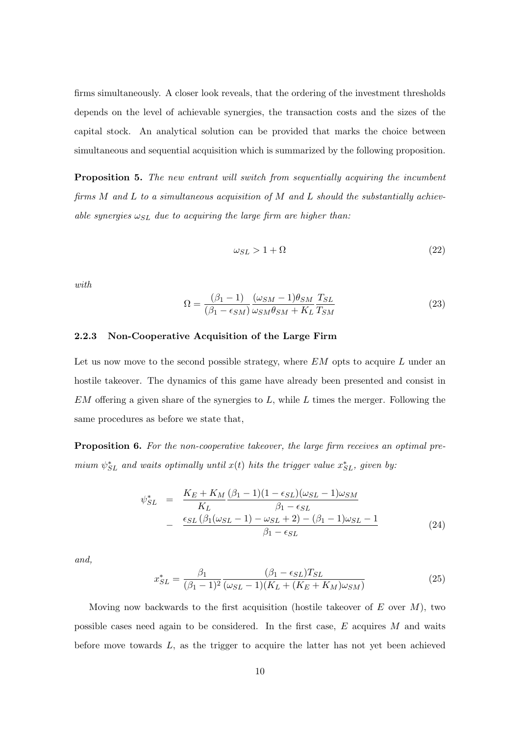firms simultaneously. A closer look reveals, that the ordering of the investment thresholds depends on the level of achievable synergies, the transaction costs and the sizes of the capital stock. An analytical solution can be provided that marks the choice between simultaneous and sequential acquisition which is summarized by the following proposition.

**Proposition 5.** The new entrant will switch from sequentially acquiring the incumbent firms  $M$  and  $L$  to a simultaneous acquisition of  $M$  and  $L$  should the substantially achievable synergies  $\omega_{SL}$  due to acquiring the large firm are higher than:

$$
\omega_{SL} > 1 + \Omega \tag{22}
$$

with

$$
\Omega = \frac{(\beta_1 - 1)}{(\beta_1 - \epsilon_{SM})} \frac{(\omega_{SM} - 1)\theta_{SM}}{\omega_{SM}\theta_{SM} + K_L} \frac{T_{SL}}{T_{SM}}
$$
(23)

## 2.2.3 Non-Cooperative Acquisition of the Large Firm

Let us now move to the second possible strategy, where  $EM$  opts to acquire L under an hostile takeover. The dynamics of this game have already been presented and consist in  $EM$  offering a given share of the synergies to  $L$ , while  $L$  times the merger. Following the same procedures as before we state that,

Proposition 6. For the non-cooperative takeover, the large firm receives an optimal premium  $\psi_{SL}^*$  and waits optimally until  $x(t)$  hits the trigger value  $x_{SL}^*$ , given by:

$$
\psi_{SL}^{*} = \frac{K_E + K_M \left(\beta_1 - 1\right) \left(1 - \epsilon_{SL}\right) \left(\omega_{SL} - 1\right) \omega_{SM}}{K_L} - \frac{\epsilon_{SL} \left(\beta_1 \left(\omega_{SL} - 1\right) - \omega_{SL} + 2\right) - \left(\beta_1 - 1\right) \omega_{SL} - 1}{\beta_1 - \epsilon_{SL}} \tag{24}
$$

and,

$$
x_{SL}^{*} = \frac{\beta_1}{(\beta_1 - 1)^2} \frac{(\beta_1 - \epsilon_{SL}) T_{SL}}{(\omega_{SL} - 1)(K_L + (K_E + K_M)\omega_{SM})}
$$
(25)

Moving now backwards to the first acquisition (hostile takeover of  $E$  over  $M$ ), two possible cases need again to be considered. In the first case,  $E$  acquires  $M$  and waits before move towards  $L$ , as the trigger to acquire the latter has not yet been achieved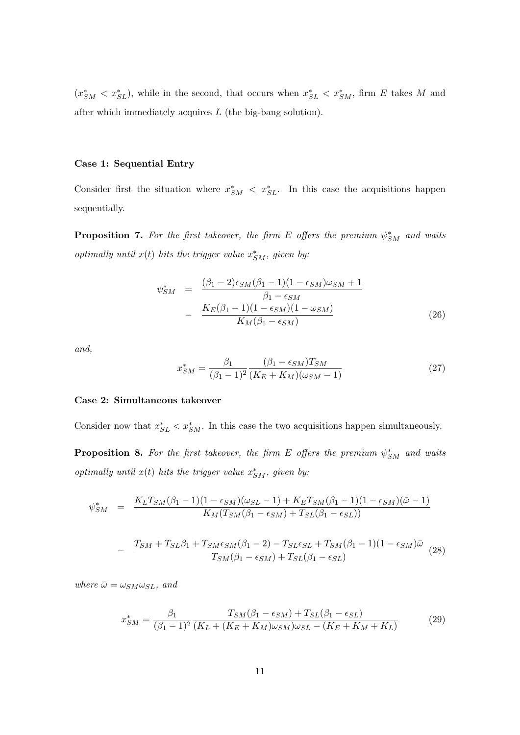$(x_{SM}^* < x_{SL}^*)$ , while in the second, that occurs when  $x_{SL}^* < x_{SM}^*$ , firm E takes M and after which immediately acquires  $L$  (the big-bang solution).

#### Case 1: Sequential Entry

Consider first the situation where  $x_{SM}^* < x_{SL}^*$ . In this case the acquisitions happen sequentially.

**Proposition 7.** For the first takeover, the firm E offers the premium  $\psi_{SM}^*$  and waits optimally until  $x(t)$  hits the trigger value  $x_{SM}^*$ , given by:

$$
\psi_{SM}^{*} = \frac{(\beta_1 - 2)\epsilon_{SM}(\beta_1 - 1)(1 - \epsilon_{SM})\omega_{SM} + 1}{\beta_1 - \epsilon_{SM}}
$$

$$
- \frac{K_E(\beta_1 - 1)(1 - \epsilon_{SM})(1 - \omega_{SM})}{K_M(\beta_1 - \epsilon_{SM})}
$$
(26)

and,

$$
x_{SM}^* = \frac{\beta_1}{(\beta_1 - 1)^2} \frac{(\beta_1 - \epsilon_{SM}) T_{SM}}{(K_E + K_M)(\omega_{SM} - 1)}
$$
(27)

## Case 2: Simultaneous takeover

Consider now that  $x_{SL}^* < x_{SM}^*$ . In this case the two acquisitions happen simultaneously.

**Proposition 8.** For the first takeover, the firm E offers the premium  $\psi_{SM}^*$  and waits optimally until  $x(t)$  hits the trigger value  $x_{SM}^*$ , given by:

$$
\psi_{SM}^* = \frac{K_L T_{SM} (\beta_1 - 1)(1 - \epsilon_{SM})(\omega_{SL} - 1) + K_E T_{SM} (\beta_1 - 1)(1 - \epsilon_{SM})(\bar{\omega} - 1)}{K_M (T_{SM} (\beta_1 - \epsilon_{SM}) + T_{SL} (\beta_1 - \epsilon_{SL}))}
$$

$$
- \frac{T_{SM} + T_{SL}\beta_1 + T_{SM}\epsilon_{SM}(\beta_1 - 2) - T_{SL}\epsilon_{SL} + T_{SM}(\beta_1 - 1)(1 - \epsilon_{SM})\bar{\omega}}{T_{SM}(\beta_1 - \epsilon_{SM}) + T_{SL}(\beta_1 - \epsilon_{SL})}
$$
(28)

where  $\bar{\omega} = \omega_{SM} \omega_{SL}$ , and

−

$$
x_{SM}^{*} = \frac{\beta_1}{(\beta_1 - 1)^2} \frac{T_{SM}(\beta_1 - \epsilon_{SM}) + T_{SL}(\beta_1 - \epsilon_{SL})}{(K_L + (K_E + K_M)\omega_{SM})\omega_{SL} - (K_E + K_M + K_L)}
$$
(29)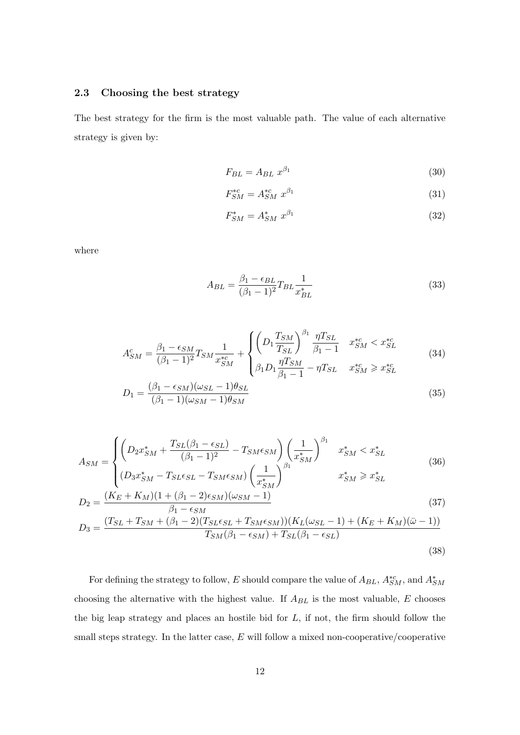## 2.3 Choosing the best strategy

The best strategy for the firm is the most valuable path. The value of each alternative strategy is given by:

$$
F_{BL} = A_{BL} \ x^{\beta_1} \tag{30}
$$

$$
F_{SM}^{*c} = A_{SM}^{*c} x^{\beta_1} \tag{31}
$$

$$
F_{SM}^* = A_{SM}^* x^{\beta_1} \tag{32}
$$

where

$$
A_{BL} = \frac{\beta_1 - \epsilon_{BL}}{(\beta_1 - 1)^2} T_{BL} \frac{1}{x_{BL}^*}
$$
\n
$$
(33)
$$

$$
A_{SM}^c = \frac{\beta_1 - \epsilon_{SM}}{(\beta_1 - 1)^2} T_{SM} \frac{1}{x_{SM}^{*c}} + \begin{cases} \left( D_1 \frac{T_{SM}}{T_{SL}} \right)^{\beta_1} \frac{\eta T_{SL}}{\beta_1 - 1} & x_{SM}^{*c} < x_{SL}^{*c} \\ \beta_1 D_1 \frac{\eta T_{SM}}{\beta_1 - 1} - \eta T_{SL} & x_{SM}^{*c} \ge x_{SL}^{*c} \end{cases}
$$
(34)

$$
D_1 = \frac{(\beta_1 - \epsilon_{SM})(\omega_{SL} - 1)\theta_{SL}}{(\beta_1 - 1)(\omega_{SM} - 1)\theta_{SM}}
$$
(35)

$$
A_{SM} = \begin{cases} \left( D_2 x_{SM}^* + \frac{T_{SL}(\beta_1 - \epsilon_{SL})}{(\beta_1 - 1)^2} - T_{SM}\epsilon_{SM} \right) \left( \frac{1}{x_{SM}^*} \right)^{\beta_1} & x_{SM}^* < x_{SL}^*\\ (D_3 x_{SM}^* - T_{SL}\epsilon_{SL} - T_{SM}\epsilon_{SM}) \left( \frac{1}{x_{SM}^*} \right)^{\beta_1} & x_{SM}^* \ge x_{SL}^* \end{cases}
$$
(36)

$$
D_2 = \frac{(K_E + K_M)(1 + (\beta_1 - 2)\epsilon_{SM})(\omega_{SM} - 1)}{\beta_1 - \epsilon_{SM}}
$$
\n(37)

$$
D_3 = \frac{(T_{SL} + T_{SM} + (\beta_1 - 2)(T_{SLESL} + T_{SM}\epsilon_{SM})) (K_L(\omega_{SL} - 1) + (K_E + K_M)(\bar{\omega} - 1))}{T_{SM}(\beta_1 - \epsilon_{SM}) + T_{SL}(\beta_1 - \epsilon_{SL})}
$$
(38)

For defining the strategy to follow, E should compare the value of  $A_{BL}$ ,  $A_{SM}^{*c}$ , and  $A_{SM}^{*}$ choosing the alternative with the highest value. If  $A_{BL}$  is the most valuable,  $E$  chooses the big leap strategy and places an hostile bid for  $L$ , if not, the firm should follow the small steps strategy. In the latter case,  $E$  will follow a mixed non-cooperative/cooperative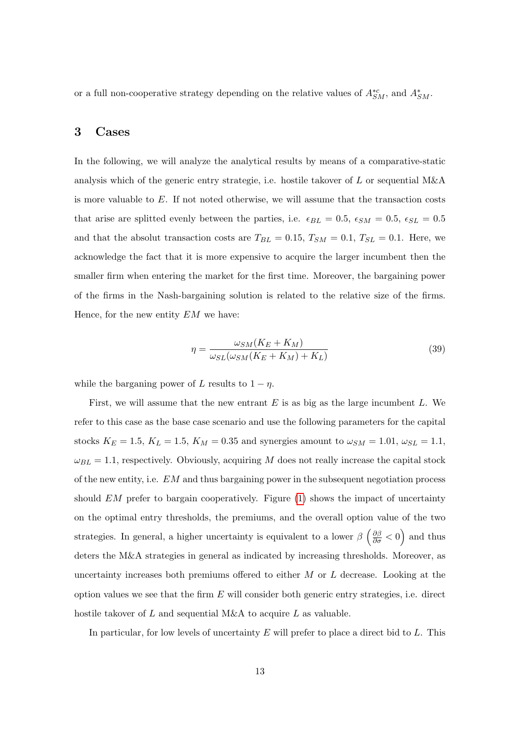or a full non-cooperative strategy depending on the relative values of  $A^{*c}_{SM}$ , and  $A^{*}_{SM}$ .

## 3 Cases

In the following, we will analyze the analytical results by means of a comparative-static analysis which of the generic entry strategie, i.e. hostile takover of L or sequential  $M\&A$ is more valuable to  $E$ . If not noted otherwise, we will assume that the transaction costs that arise are splitted evenly between the parties, i.e.  $\epsilon_{BL} = 0.5$ ,  $\epsilon_{SM} = 0.5$ ,  $\epsilon_{SL} = 0.5$ and that the absolut transaction costs are  $T_{BL} = 0.15$ ,  $T_{SM} = 0.1$ ,  $T_{SL} = 0.1$ . Here, we acknowledge the fact that it is more expensive to acquire the larger incumbent then the smaller firm when entering the market for the first time. Moreover, the bargaining power of the firms in the Nash-bargaining solution is related to the relative size of the firms. Hence, for the new entity  $EM$  we have:

$$
\eta = \frac{\omega_{SM}(K_E + K_M)}{\omega_{SL}(\omega_{SM}(K_E + K_M) + K_L)}\tag{39}
$$

while the barganing power of L results to  $1 - \eta$ .

First, we will assume that the new entrant  $E$  is as big as the large incumbent  $L$ . We refer to this case as the base case scenario and use the following parameters for the capital stocks  $K_E = 1.5$ ,  $K_L = 1.5$ ,  $K_M = 0.35$  and synergies amount to  $\omega_{SM} = 1.01$ ,  $\omega_{SL} = 1.1$ ,  $\omega_{BL} = 1.1$ , respectively. Obviously, acquiring M does not really increase the capital stock of the new entity, i.e.  $EM$  and thus bargaining power in the subsequent negotiation process should  $EM$  prefer to bargain cooperatively. Figure  $(1)$  shows the impact of uncertainty on the optimal entry thresholds, the premiums, and the overall option value of the two strategies. In general, a higher uncertainty is equivalent to a lower  $\beta \left(\frac{\partial \beta}{\partial \sigma} < 0\right)$  and thus deters the M&A strategies in general as indicated by increasing thresholds. Moreover, as uncertainty increases both premiums offered to either  $M$  or  $L$  decrease. Looking at the option values we see that the firm  $E$  will consider both generic entry strategies, i.e. direct hostile takover of L and sequential M&A to acquire L as valuable.

In particular, for low levels of uncertainty  $E$  will prefer to place a direct bid to  $L$ . This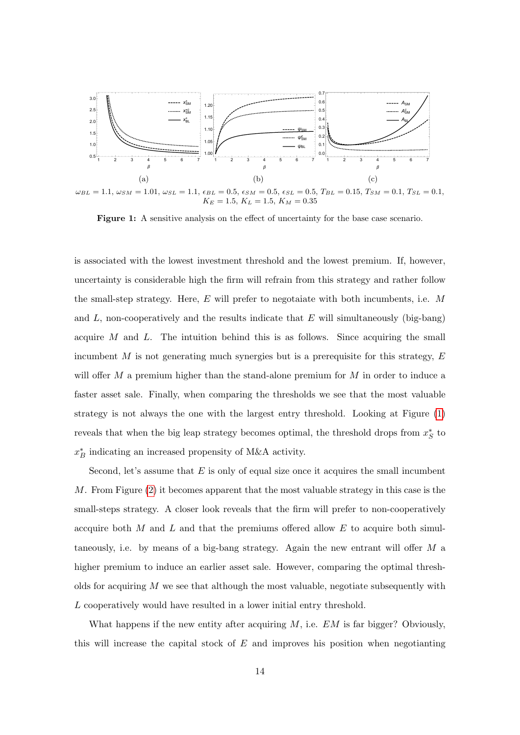<span id="page-14-0"></span>

 $\omega_{BL} = 1.1, \, \omega_{SM} = 1.01, \, \omega_{SL} = 1.1, \, \epsilon_{BL} = 0.5, \, \epsilon_{SM} = 0.5, \, \epsilon_{SL} = 0.5, \, T_{BL} = 0.15, \, T_{SM} = 0.1, \, T_{SL} = 0.1, \, T_{SL} = 0.1, \, T_{SL} = 0.1, \, T_{SL} = 0.1, \, T_{SL} = 0.1, \, T_{SL} = 0.1, \, T_{SL} = 0.1, \, T_{SL} = 0.1, \, T_{SL} = 0.1, \, T_{SL} = 0.$  $K_E = 1.5, K_L = 1.5, K_M = 0.35$ 

Figure 1: A sensitive analysis on the effect of uncertainty for the base case scenario.

is associated with the lowest investment threshold and the lowest premium. If, however, uncertainty is considerable high the firm will refrain from this strategy and rather follow the small-step strategy. Here,  $E$  will prefer to negotaiate with both incumbents, i.e.  $M$ and  $L$ , non-cooperatively and the results indicate that  $E$  will simultaneously (big-bang) acquire  $M$  and  $L$ . The intuition behind this is as follows. Since acquiring the small incumbent  $M$  is not generating much synergies but is a prerequisite for this strategy,  $E$ will offer  $M$  a premium higher than the stand-alone premium for  $M$  in order to induce a faster asset sale. Finally, when comparing the thresholds we see that the most valuable strategy is not always the one with the largest entry threshold. Looking at Figure [\(1\)](#page-14-0) reveals that when the big leap strategy becomes optimal, the threshold drops from  $x_S^*$  to  $x_B^\ast$  indicating an increased propensity of M&A activity.

Second, let's assume that  $E$  is only of equal size once it acquires the small incumbent M. From Figure  $(2)$  it becomes apparent that the most valuable strategy in this case is the small-steps strategy. A closer look reveals that the firm will prefer to non-cooperatively accquire both  $M$  and  $L$  and that the premiums offered allow  $E$  to acquire both simultaneously, i.e. by means of a big-bang strategy. Again the new entrant will offer  $M$  a higher premium to induce an earlier asset sale. However, comparing the optimal thresholds for acquiring  $M$  we see that although the most valuable, negotiate subsequently with L cooperatively would have resulted in a lower initial entry threshold.

What happens if the new entity after acquiring  $M$ , i.e.  $EM$  is far bigger? Obviously, this will increase the capital stock of  $E$  and improves his position when negotianting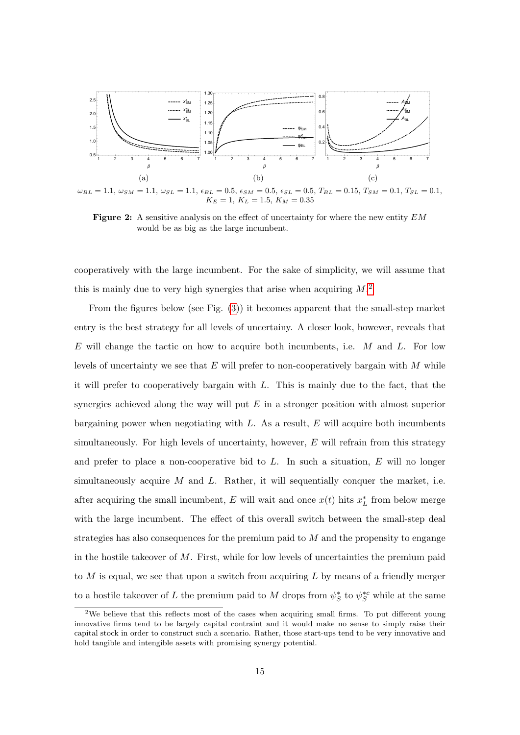<span id="page-15-0"></span>

 $\omega_{BL} = 1.1, \omega_{SM} = 1.1, \omega_{SL} = 1.1, \epsilon_{BL} = 0.5, \epsilon_{SM} = 0.5, \epsilon_{SL} = 0.5, T_{BL} = 0.15, T_{SM} = 0.1, T_{SL} = 0.1,$  $K_E = 1, K_L = 1.5, K_M = 0.35$ 

Figure 2: A sensitive analysis on the effect of uncertainty for where the new entity  $EM$ would be as big as the large incumbent.

cooperatively with the large incumbent. For the sake of simplicity, we will assume that this is mainly due to very high synergies that arise when acquiring  $M$ <sup>[2](#page-15-1)</sup>

From the figures below (see Fig. [\(3\)](#page-16-0)) it becomes apparent that the small-step market entry is the best strategy for all levels of uncertainy. A closer look, however, reveals that E will change the tactic on how to acquire both incumbents, i.e.  $M$  and  $L$ . For low levels of uncertainty we see that  $E$  will prefer to non-cooperatively bargain with  $M$  while it will prefer to cooperatively bargain with L. This is mainly due to the fact, that the synergies achieved along the way will put  $E$  in a stronger position with almost superior bargaining power when negotiating with  $L$ . As a result,  $E$  will acquire both incumbents simultaneously. For high levels of uncertainty, however,  $E$  will refrain from this strategy and prefer to place a non-cooperative bid to  $L$ . In such a situation,  $E$  will no longer simultaneously acquire  $M$  and  $L$ . Rather, it will sequentially conquer the market, i.e. after acquiring the small incumbent, E will wait and once  $x(t)$  hits  $x<sub>L</sub><sup>*</sup>$  from below merge with the large incumbent. The effect of this overall switch between the small-step deal strategies has also consequences for the premium paid to  $M$  and the propensity to engange in the hostile takeover of  $M$ . First, while for low levels of uncertainties the premium paid to  $M$  is equal, we see that upon a switch from acquiring  $L$  by means of a friendly merger to a hostile takeover of L the premium paid to M drops from  $\psi_S^*$  to  $\psi_S^{*c}$  while at the same

<span id="page-15-1"></span><sup>&</sup>lt;sup>2</sup>We believe that this reflects most of the cases when acquiring small firms. To put different young innovative firms tend to be largely capital contraint and it would make no sense to simply raise their capital stock in order to construct such a scenario. Rather, those start-ups tend to be very innovative and hold tangible and intengible assets with promising synergy potential.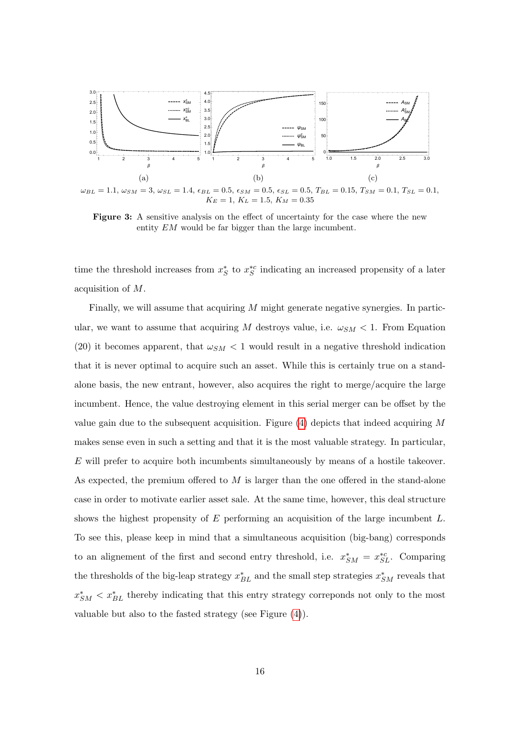<span id="page-16-0"></span>

 $\omega_{BL} = 1.1, \, \omega_{SM} = 3, \, \omega_{SL} = 1.4, \, \epsilon_{BL} = 0.5, \, \epsilon_{SM} = 0.5, \, \epsilon_{SL} = 0.5, \, T_{BL} = 0.15, \, T_{SM} = 0.1, \, T_{SL} = 0.1,$  $K_E = 1, K_L = 1.5, K_M = 0.35$ 

Figure 3: A sensitive analysis on the effect of uncertainty for the case where the new entity EM would be far bigger than the large incumbent.

time the threshold increases from  $x_S^*$  to  $x_S^{*c}$  indicating an increased propensity of a later acquisition of M.

Finally, we will assume that acquiring M might generate negative synergies. In particular, we want to assume that acquiring M destroys value, i.e.  $\omega_{SM} < 1$ . From Equation (20) it becomes apparent, that  $\omega_{SM}$  < 1 would result in a negative threshold indication that it is never optimal to acquire such an asset. While this is certainly true on a standalone basis, the new entrant, however, also acquires the right to merge/acquire the large incumbent. Hence, the value destroying element in this serial merger can be offset by the value gain due to the subsequent acquisition. Figure  $(4)$  depicts that indeed acquiring M makes sense even in such a setting and that it is the most valuable strategy. In particular,  $E$  will prefer to acquire both incumbents simultaneously by means of a hostile takeover. As expected, the premium offered to  $M$  is larger than the one offered in the stand-alone case in order to motivate earlier asset sale. At the same time, however, this deal structure shows the highest propensity of  $E$  performing an acquisition of the large incumbent  $L$ . To see this, please keep in mind that a simultaneous acquisition (big-bang) corresponds to an alignement of the first and second entry threshold, i.e.  $x_{SM}^* = x_{SL}^{*c}$ . Comparing the thresholds of the big-leap strategy  $x_{BL}^*$  and the small step strategies  $x_{SM}^*$  reveals that  $x_{SM}^* < x_{BL}^*$  thereby indicating that this entry strategy correponds not only to the most valuable but also to the fasted strategy (see Figure [\(4\)](#page-17-3)).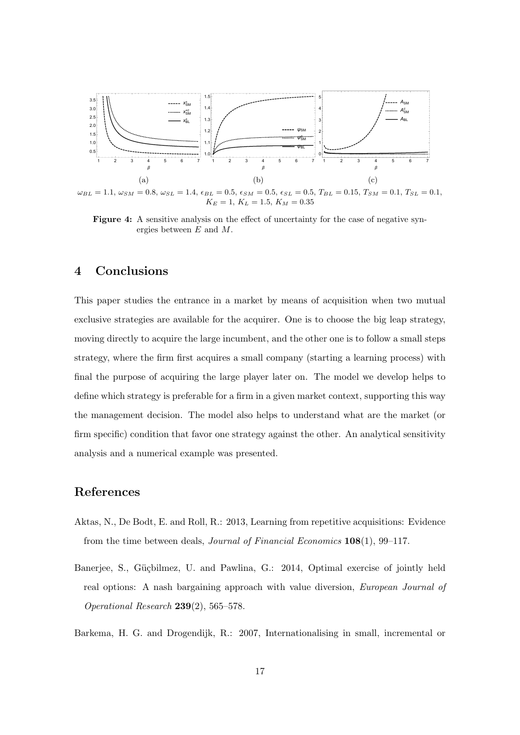<span id="page-17-3"></span>

 $\omega_{BL} = 1.1, \omega_{SM} = 0.8, \omega_{SL} = 1.4, \epsilon_{BL} = 0.5, \epsilon_{SM} = 0.5, \epsilon_{SL} = 0.5, T_{BL} = 0.15, T_{SM} = 0.1, T_{SL} = 0.1,$  $K_E = 1, K_L = 1.5, K_M = 0.35$ 

Figure 4: A sensitive analysis on the effect of uncertainty for the case of negative synergies between E and M.

## 4 Conclusions

This paper studies the entrance in a market by means of acquisition when two mutual exclusive strategies are available for the acquirer. One is to choose the big leap strategy, moving directly to acquire the large incumbent, and the other one is to follow a small steps strategy, where the firm first acquires a small company (starting a learning process) with final the purpose of acquiring the large player later on. The model we develop helps to define which strategy is preferable for a firm in a given market context, supporting this way the management decision. The model also helps to understand what are the market (or firm specific) condition that favor one strategy against the other. An analytical sensitivity analysis and a numerical example was presented.

# References

- <span id="page-17-1"></span>Aktas, N., De Bodt, E. and Roll, R.: 2013, Learning from repetitive acquisitions: Evidence from the time between deals, Journal of Financial Economics 108(1), 99–117.
- <span id="page-17-2"></span>Banerjee, S., Güçbilmez, U. and Pawlina, G.: 2014, Optimal exercise of jointly held real options: A nash bargaining approach with value diversion, European Journal of Operational Research 239(2), 565–578.

<span id="page-17-0"></span>Barkema, H. G. and Drogendijk, R.: 2007, Internationalising in small, incremental or